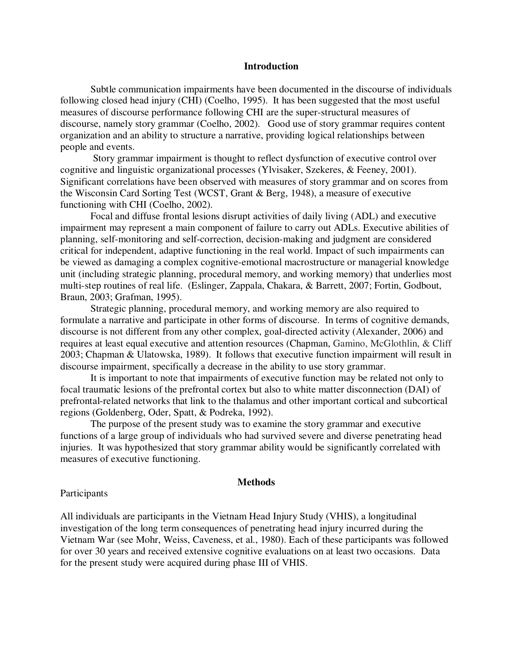# **Introduction**

Subtle communication impairments have been documented in the discourse of individuals following closed head injury (CHI) (Coelho, 1995). It has been suggested that the most useful measures of discourse performance following CHI are the super-structural measures of discourse, namely story grammar (Coelho, 2002). Good use of story grammar requires content organization and an ability to structure a narrative, providing logical relationships between people and events.

 Story grammar impairment is thought to reflect dysfunction of executive control over cognitive and linguistic organizational processes (Ylvisaker, Szekeres, & Feeney, 2001). Significant correlations have been observed with measures of story grammar and on scores from the Wisconsin Card Sorting Test (WCST, Grant & Berg, 1948), a measure of executive functioning with CHI (Coelho, 2002).

Focal and diffuse frontal lesions disrupt activities of daily living (ADL) and executive impairment may represent a main component of failure to carry out ADLs. Executive abilities of planning, self-monitoring and self-correction, decision-making and judgment are considered critical for independent, adaptive functioning in the real world. Impact of such impairments can be viewed as damaging a complex cognitive-emotional macrostructure or managerial knowledge unit (including strategic planning, procedural memory, and working memory) that underlies most multi-step routines of real life. (Eslinger, Zappala, Chakara, & Barrett, 2007; Fortin, Godbout, Braun, 2003; Grafman, 1995).

Strategic planning, procedural memory, and working memory are also required to formulate a narrative and participate in other forms of discourse. In terms of cognitive demands, discourse is not different from any other complex, goal-directed activity (Alexander, 2006) and requires at least equal executive and attention resources (Chapman, Gamino, McGlothlin, & Cliff 2003; Chapman & Ulatowska, 1989). It follows that executive function impairment will result in discourse impairment, specifically a decrease in the ability to use story grammar.

It is important to note that impairments of executive function may be related not only to focal traumatic lesions of the prefrontal cortex but also to white matter disconnection (DAI) of prefrontal-related networks that link to the thalamus and other important cortical and subcortical regions (Goldenberg, Oder, Spatt, & Podreka, 1992).

The purpose of the present study was to examine the story grammar and executive functions of a large group of individuals who had survived severe and diverse penetrating head injuries. It was hypothesized that story grammar ability would be significantly correlated with measures of executive functioning.

#### **Methods**

#### Participants

All individuals are participants in the Vietnam Head Injury Study (VHIS), a longitudinal investigation of the long term consequences of penetrating head injury incurred during the Vietnam War (see Mohr, Weiss, Caveness, et al., 1980). Each of these participants was followed for over 30 years and received extensive cognitive evaluations on at least two occasions. Data for the present study were acquired during phase III of VHIS.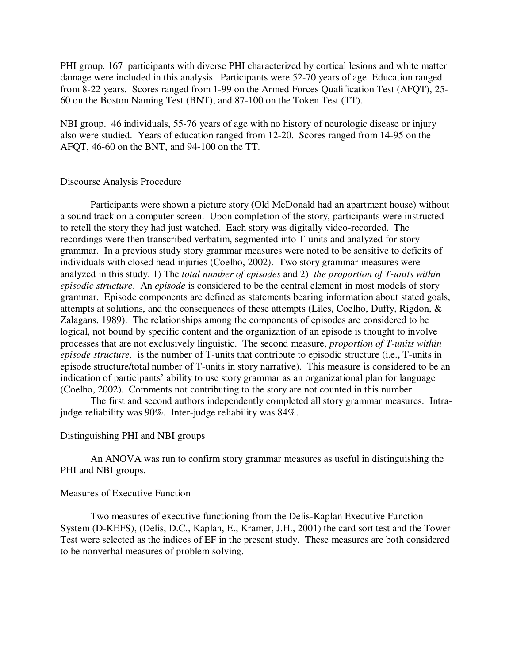PHI group. 167 participants with diverse PHI characterized by cortical lesions and white matter damage were included in this analysis. Participants were 52-70 years of age. Education ranged from 8-22 years. Scores ranged from 1-99 on the Armed Forces Qualification Test (AFQT), 25- 60 on the Boston Naming Test (BNT), and 87-100 on the Token Test (TT).

NBI group. 46 individuals, 55-76 years of age with no history of neurologic disease or injury also were studied. Years of education ranged from 12-20. Scores ranged from 14-95 on the AFQT, 46-60 on the BNT, and 94-100 on the TT.

# Discourse Analysis Procedure

Participants were shown a picture story (Old McDonald had an apartment house) without a sound track on a computer screen. Upon completion of the story, participants were instructed to retell the story they had just watched. Each story was digitally video-recorded. The recordings were then transcribed verbatim, segmented into T-units and analyzed for story grammar. In a previous study story grammar measures were noted to be sensitive to deficits of individuals with closed head injuries (Coelho, 2002). Two story grammar measures were analyzed in this study. 1) The *total number of episodes* and 2) *the proportion of T-units within episodic structure*. An *episode* is considered to be the central element in most models of story grammar. Episode components are defined as statements bearing information about stated goals, attempts at solutions, and the consequences of these attempts (Liles, Coelho, Duffy, Rigdon, & Zalagans, 1989). The relationships among the components of episodes are considered to be logical, not bound by specific content and the organization of an episode is thought to involve processes that are not exclusively linguistic. The second measure, *proportion of T-units within episode structure,* is the number of T-units that contribute to episodic structure (i.e., T-units in episode structure/total number of T-units in story narrative). This measure is considered to be an indication of participants' ability to use story grammar as an organizational plan for language (Coelho, 2002). Comments not contributing to the story are not counted in this number.

The first and second authors independently completed all story grammar measures. Intrajudge reliability was 90%. Inter-judge reliability was 84%.

#### Distinguishing PHI and NBI groups

An ANOVA was run to confirm story grammar measures as useful in distinguishing the PHI and NBI groups.

## Measures of Executive Function

Two measures of executive functioning from the Delis-Kaplan Executive Function System (D-KEFS), (Delis, D.C., Kaplan, E., Kramer, J.H., 2001) the card sort test and the Tower Test were selected as the indices of EF in the present study. These measures are both considered to be nonverbal measures of problem solving.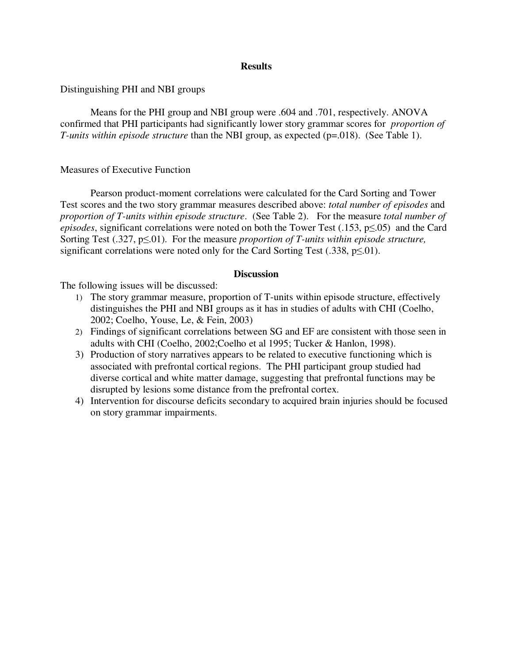# **Results**

Distinguishing PHI and NBI groups

Means for the PHI group and NBI group were .604 and .701, respectively. ANOVA confirmed that PHI participants had significantly lower story grammar scores for *proportion of T*-units within episode structure than the NBI group, as expected (p=.018). (See Table 1).

# Measures of Executive Function

Pearson product-moment correlations were calculated for the Card Sorting and Tower Test scores and the two story grammar measures described above: *total number of episodes* and *proportion of T-units within episode structure*. (See Table 2). For the measure *total number of episodes*, significant correlations were noted on both the Tower Test (.153, p≤.05) and the Card Sorting Test (.327, p≤.01). For the measure *proportion of T-units within episode structure,*  significant correlations were noted only for the Card Sorting Test (.338,  $p\leq 01$ ).

## **Discussion**

The following issues will be discussed:

- 1) The story grammar measure, proportion of T-units within episode structure, effectively distinguishes the PHI and NBI groups as it has in studies of adults with CHI (Coelho, 2002; Coelho, Youse, Le, & Fein, 2003)
- 2) Findings of significant correlations between SG and EF are consistent with those seen in adults with CHI (Coelho, 2002;Coelho et al 1995; Tucker & Hanlon, 1998).
- 3) Production of story narratives appears to be related to executive functioning which is associated with prefrontal cortical regions. The PHI participant group studied had diverse cortical and white matter damage, suggesting that prefrontal functions may be disrupted by lesions some distance from the prefrontal cortex.
- 4) Intervention for discourse deficits secondary to acquired brain injuries should be focused on story grammar impairments.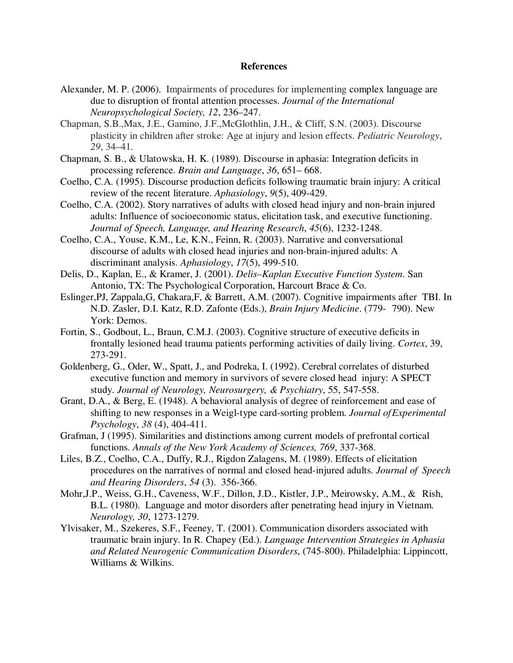#### **References**

- Alexander, M. P. (2006). Impairments of procedures for implementing complex language are due to disruption of frontal attention processes. *Journal of the International Neuropsychological Society, 12*, 236–247.
- Chapman, S.B.,Max, J.E., Gamino, J.F.,McGlothlin, J.H., & Cliff, S.N. (2003). Discourse plasticity in children after stroke: Age at injury and lesion effects. *Pediatric Neurology*, *29*, 34–41.
- Chapman, S. B., & Ulatowska, H. K. (1989). Discourse in aphasia: Integration deficits in processing reference. *Brain and Language*, *36*, 651– 668.
- Coelho, C.A. (1995). Discourse production deficits following traumatic brain injury: A critical review of the recent literature. *Aphasiology*, *9*(5), 409-429.
- Coelho, C.A. (2002). Story narratives of adults with closed head injury and non-brain injured adults: Influence of socioeconomic status, elicitation task, and executive functioning. *Journal of Speech, Language, and Hearing Research*, *45*(6), 1232-1248.
- Coelho, C.A., Youse, K.M., Le, K.N., Feinn, R. (2003). Narrative and conversational discourse of adults with closed head injuries and non-brain-injured adults: A discriminant analysis. *Aphasiology*, *17*(5), 499-510.
- Delis, D., Kaplan, E., & Kramer, J. (2001). *Delis–Kaplan Executive Function System*. San Antonio, TX: The Psychological Corporation, Harcourt Brace & Co.
- Eslinger,PJ, Zappala,G, Chakara,F, & Barrett, A.M. (2007). Cognitive impairments after TBI. In N.D. Zasler, D.I. Katz, R.D. Zafonte (Eds.), *Brain Injury Medicine*. (779- 790). New York: Demos.
- Fortin, S., Godbout, L., Braun, C.M.J. (2003). Cognitive structure of executive deficits in frontally lesioned head trauma patients performing activities of daily living. *Cortex*, 39, 273-291.
- Goldenberg, G., Oder, W., Spatt, J., and Podreka, I. (1992). Cerebral correlates of disturbed executive function and memory in survivors of severe closed head injury: A SPECT study. *Journal of Neurology, Neurosurgery, & Psychiatry*, 55, 547-558.
- Grant, D.A., & Berg, E. (1948). A behavioral analysis of degree of reinforcement and ease of shifting to new responses in a Weigl-type card-sorting problem. *Journal of Experimental Psychology*, *38* (4), 404-411.
- Grafman, J (1995). Similarities and distinctions among current models of prefrontal cortical functions. *Annals of the New York Academy of Sciences, 769*, 337-368.
- Liles, B.Z., Coelho, C.A., Duffy, R.J., Rigdon Zalagens, M. (1989). Effects of elicitation procedures on the narratives of normal and closed head-injured adults. *Journal of Speech and Hearing Disorders*, *54* (3). 356-366.
- Mohr,J.P., Weiss, G.H., Caveness, W.F., Dillon, J.D., Kistler, J.P., Meirowsky, A.M., & Rish, B.L. (1980). Language and motor disorders after penetrating head injury in Vietnam. *Neurology, 30*, 1273-1279.
- Ylvisaker, M., Szekeres, S.F., Feeney, T. (2001). Communication disorders associated with traumatic brain injury. In R. Chapey (Ed.). *Language Intervention Strategies in Aphasia and Related Neurogenic Communication Disorders*, (745-800). Philadelphia: Lippincott, Williams & Wilkins.